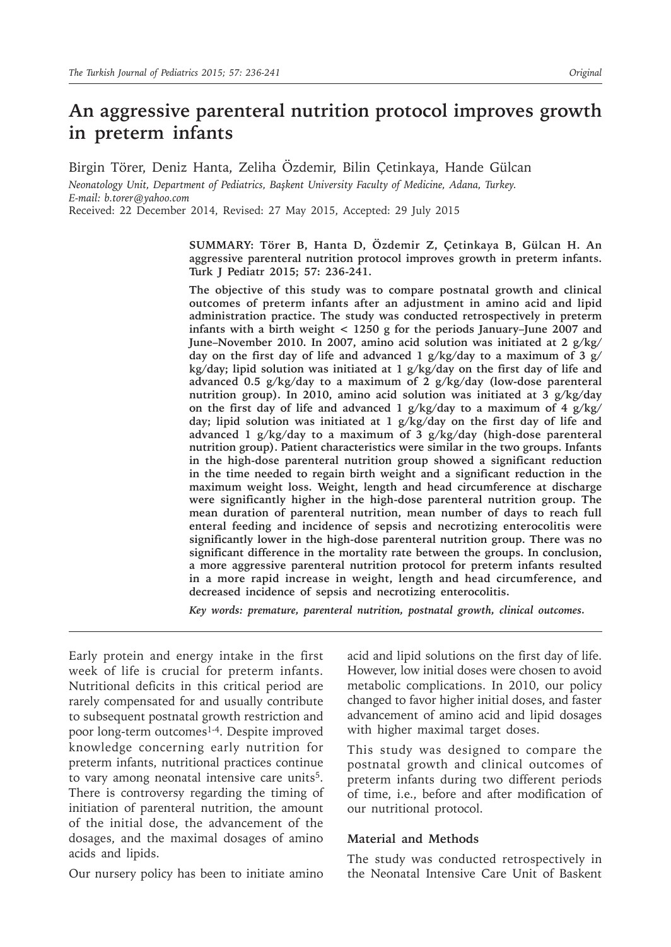# **An aggressive parenteral nutrition protocol improves growth in preterm infants**

Birgin Törer, Deniz Hanta, Zeliha Özdemir, Bilin Çetinkaya, Hande Gülcan *Neonatology Unit, Department of Pediatrics, Başkent University Faculty of Medicine, Adana, Turkey.* 

*E-mail: b.torer@yahoo.com*

Received: 22 December 2014, Revised: 27 May 2015, Accepted: 29 July 2015

**SUMMARY: Törer B, Hanta D, Özdemir Z, Çetinkaya B, Gülcan H. An aggressive parenteral nutrition protocol improves growth in preterm infants. Turk J Pediatr 2015; 57: 236-241.**

**The objective of this study was to compare postnatal growth and clinical outcomes of preterm infants after an adjustment in amino acid and lipid administration practice. The study was conducted retrospectively in preterm infants with a birth weight < 1250 g for the periods January–June 2007 and June–November 2010. In 2007, amino acid solution was initiated at 2 g/kg/ day on the first day of life and advanced 1 g/kg/day to a maximum of 3 g/ kg/day; lipid solution was initiated at 1 g/kg/day on the first day of life and advanced 0.5 g/kg/day to a maximum of 2 g/kg/day (low-dose parenteral nutrition group). In 2010, amino acid solution was initiated at 3 g/kg/day on the first day of life and advanced 1 g/kg/day to a maximum of 4 g/kg/ day; lipid solution was initiated at 1 g/kg/day on the first day of life and advanced 1 g/kg/day to a maximum of 3 g/kg/day (high-dose parenteral nutrition group). Patient characteristics were similar in the two groups. Infants in the high-dose parenteral nutrition group showed a significant reduction in the time needed to regain birth weight and a significant reduction in the maximum weight loss. Weight, length and head circumference at discharge were significantly higher in the high-dose parenteral nutrition group. The mean duration of parenteral nutrition, mean number of days to reach full enteral feeding and incidence of sepsis and necrotizing enterocolitis were significantly lower in the high-dose parenteral nutrition group. There was no significant difference in the mortality rate between the groups. In conclusion, a more aggressive parenteral nutrition protocol for preterm infants resulted in a more rapid increase in weight, length and head circumference, and decreased incidence of sepsis and necrotizing enterocolitis.**

*Key words: premature, parenteral nutrition, postnatal growth, clinical outcomes.*

Early protein and energy intake in the first week of life is crucial for preterm infants. Nutritional deficits in this critical period are rarely compensated for and usually contribute to subsequent postnatal growth restriction and poor long-term outcomes<sup>1-4</sup>. Despite improved knowledge concerning early nutrition for preterm infants, nutritional practices continue to vary among neonatal intensive care units<sup>5</sup>. There is controversy regarding the timing of initiation of parenteral nutrition, the amount of the initial dose, the advancement of the dosages, and the maximal dosages of amino acids and lipids.

Our nursery policy has been to initiate amino

acid and lipid solutions on the first day of life. However, low initial doses were chosen to avoid metabolic complications. In 2010, our policy changed to favor higher initial doses, and faster advancement of amino acid and lipid dosages with higher maximal target doses.

This study was designed to compare the postnatal growth and clinical outcomes of preterm infants during two different periods of time, i.e., before and after modification of our nutritional protocol.

### **Material and Methods**

The study was conducted retrospectively in the Neonatal Intensive Care Unit of Baskent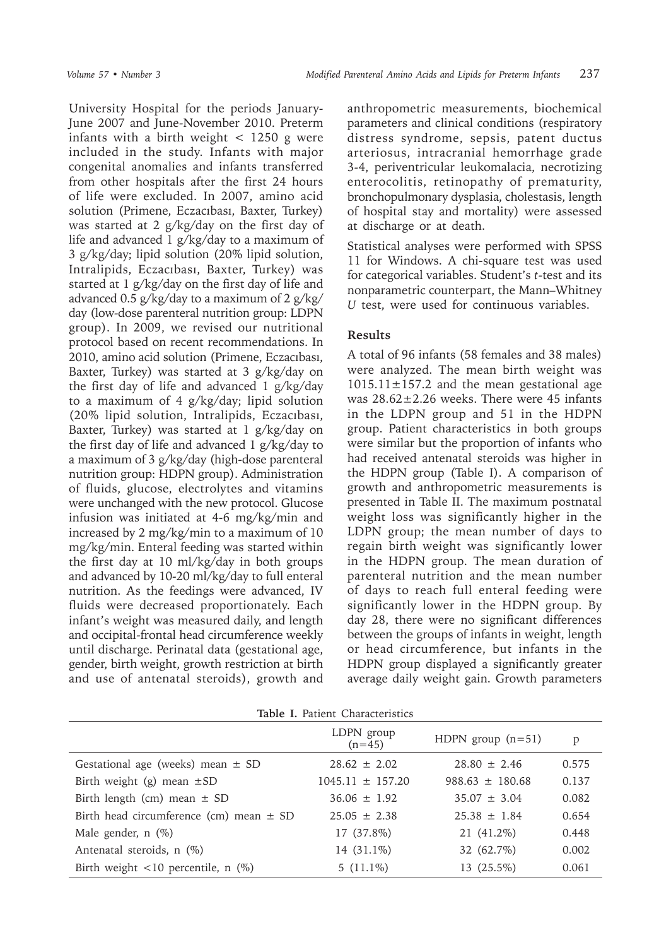University Hospital for the periods January-June 2007 and June-November 2010. Preterm infants with a birth weight  $\langle$  1250 g were included in the study. Infants with major congenital anomalies and infants transferred from other hospitals after the first 24 hours of life were excluded. In 2007, amino acid solution (Primene, Eczacıbası, Baxter, Turkey) was started at 2 g/kg/day on the first day of life and advanced 1 g/kg/day to a maximum of 3 g/kg/day; lipid solution (20% lipid solution, Intralipids, Eczacıbası, Baxter, Turkey) was started at 1 g/kg/day on the first day of life and advanced 0.5 g/kg/day to a maximum of 2 g/kg/ day (low-dose parenteral nutrition group: LDPN group). In 2009, we revised our nutritional protocol based on recent recommendations. In 2010, amino acid solution (Primene, Eczacıbası, Baxter, Turkey) was started at 3 g/kg/day on the first day of life and advanced 1 g/kg/day to a maximum of 4 g/kg/day; lipid solution (20% lipid solution, Intralipids, Eczacıbası, Baxter, Turkey) was started at 1 g/kg/day on the first day of life and advanced 1 g/kg/day to a maximum of 3 g/kg/day (high-dose parenteral nutrition group: HDPN group). Administration of fluids, glucose, electrolytes and vitamins were unchanged with the new protocol. Glucose infusion was initiated at 4-6 mg/kg/min and increased by 2 mg/kg/min to a maximum of 10 mg/kg/min. Enteral feeding was started within the first day at 10 ml/kg/day in both groups and advanced by 10-20 ml/kg/day to full enteral nutrition. As the feedings were advanced, IV fluids were decreased proportionately. Each infant's weight was measured daily, and length and occipital-frontal head circumference weekly until discharge. Perinatal data (gestational age, gender, birth weight, growth restriction at birth and use of antenatal steroids), growth and

anthropometric measurements, biochemical parameters and clinical conditions (respiratory distress syndrome, sepsis, patent ductus arteriosus, intracranial hemorrhage grade 3-4, periventricular leukomalacia, necrotizing enterocolitis, retinopathy of prematurity, bronchopulmonary dysplasia, cholestasis, length of hospital stay and mortality) were assessed at discharge or at death.

Statistical analyses were performed with SPSS 11 for Windows. A chi-square test was used for categorical variables. Student's *t*-test and its nonparametric counterpart, the Mann–Whitney *U* test, were used for continuous variables.

## **Results**

A total of 96 infants (58 females and 38 males) were analyzed. The mean birth weight was  $1015.11 \pm 157.2$  and the mean gestational age was 28.62±2.26 weeks. There were 45 infants in the LDPN group and 51 in the HDPN group. Patient characteristics in both groups were similar but the proportion of infants who had received antenatal steroids was higher in the HDPN group (Table I). A comparison of growth and anthropometric measurements is presented in Table II. The maximum postnatal weight loss was significantly higher in the LDPN group; the mean number of days to regain birth weight was significantly lower in the HDPN group. The mean duration of parenteral nutrition and the mean number of days to reach full enteral feeding were significantly lower in the HDPN group. By day 28, there were no significant differences between the groups of infants in weight, length or head circumference, but infants in the HDPN group displayed a significantly greater average daily weight gain. Growth parameters

**Table I.** Patient Characteristics

|                                                     | LDPN group<br>$(n=45)$ | HDPN group $(n=51)$ | p     |
|-----------------------------------------------------|------------------------|---------------------|-------|
| Gestational age (weeks) mean $\pm$ SD               | $28.62 \pm 2.02$       | $28.80 \pm 2.46$    | 0.575 |
| Birth weight (g) mean $\pm$ SD                      | $1045.11 \pm 157.20$   | $988.63 \pm 180.68$ | 0.137 |
| Birth length (cm) mean $\pm$ SD                     | $36.06 \pm 1.92$       | $35.07 \pm 3.04$    | 0.082 |
| Birth head circumference (cm) mean $\pm$ SD         | $25.05 \pm 2.38$       | $25.38 \pm 1.84$    | 0.654 |
| Male gender, $n$ (%)                                | 17 (37.8%)             | 21 (41.2%)          | 0.448 |
| Antenatal steroids, n (%)                           | 14 (31.1%)             | 32 (62.7%)          | 0.002 |
| Birth weight $\langle 10 \rangle$ percentile, n (%) | $5(11.1\%)$            | 13 (25.5%)          | 0.061 |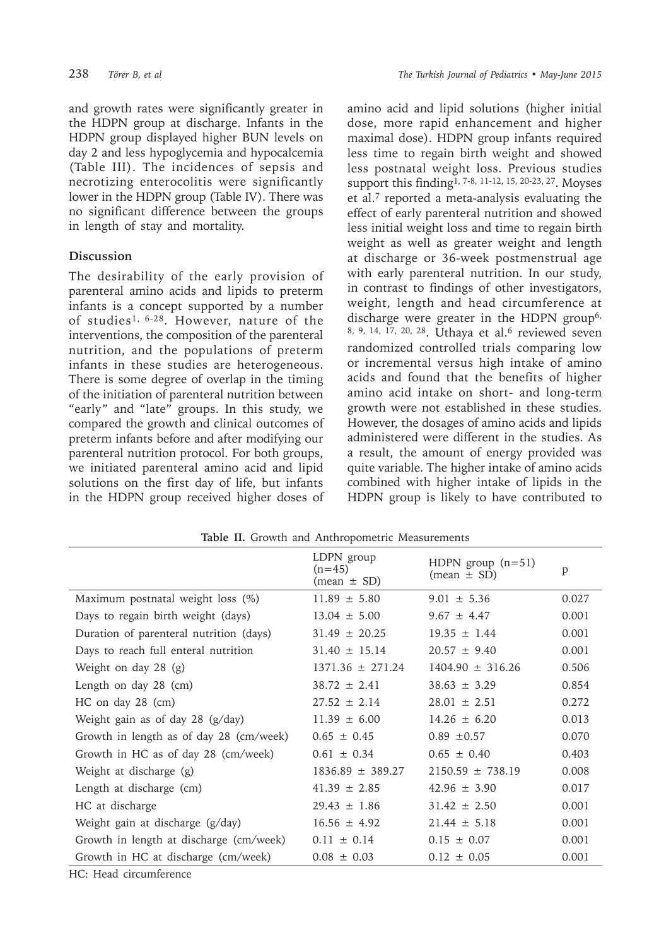and growth rates were significantly greater in the HDPN group at discharge. Infants in the HDPN group displayed higher BUN levels on day 2 and less hypoglycemia and hypocalcemia (Table III). The incidences of sepsis and necrotizing enterocolitis were significantly lower in the HDPN group (Table IV). There was no significant difference between the groups in length of stay and mortality.

## **Discussion**

The desirability of the early provision of parenteral amino acids and lipids to preterm infants is a concept supported by a number of studies1, 6-28. However, nature of the interventions, the composition of the parenteral nutrition, and the populations of preterm infants in these studies are heterogeneous. There is some degree of overlap in the timing of the initiation of parenteral nutrition between "early" and "late" groups. In this study, we compared the growth and clinical outcomes of preterm infants before and after modifying our parenteral nutrition protocol. For both groups, we initiated parenteral amino acid and lipid solutions on the first day of life, but infants in the HDPN group received higher doses of amino acid and lipid solutions (higher initial dose, more rapid enhancement and higher maximal dose). HDPN group infants required less time to regain birth weight and showed less postnatal weight loss. Previous studies support this finding1, 7-8, 11-12, 15, 20-23, 27. Moyses et al.7 reported a meta-analysis evaluating the effect of early parenteral nutrition and showed less initial weight loss and time to regain birth weight as well as greater weight and length at discharge or 36-week postmenstrual age with early parenteral nutrition. In our study, in contrast to findings of other investigators, weight, length and head circumference at discharge were greater in the HDPN group<sup>6,</sup> 8, 9, 14, 17, 20, 28. Uthaya et al.<sup>6</sup> reviewed seven randomized controlled trials comparing low or incremental versus high intake of amino acids and found that the benefits of higher amino acid intake on short- and long-term growth were not established in these studies. However, the dosages of amino acids and lipids administered were different in the studies. As a result, the amount of energy provided was quite variable. The higher intake of amino acids combined with higher intake of lipids in the HDPN group is likely to have contributed to

| <b>Table II.</b> Growth and Ammopolitetic measurements |                                                         |                                                      |       |  |
|--------------------------------------------------------|---------------------------------------------------------|------------------------------------------------------|-------|--|
|                                                        | LDPN group<br>$(n=45)$<br>$(\text{mean} \pm \text{SD})$ | HDPN group $(n=51)$<br>$(\text{mean} \pm \text{SD})$ | p     |  |
| Maximum postnatal weight loss (%)                      | $11.89 \pm 5.80$                                        | $9.01 \pm 5.36$                                      | 0.027 |  |
| Days to regain birth weight (days)                     | $13.04 \pm 5.00$                                        | $9.67 \pm 4.47$                                      | 0.001 |  |
| Duration of parenteral nutrition (days)                | $31.49 \pm 20.25$                                       | $19.35 \pm 1.44$                                     | 0.001 |  |
| Days to reach full enteral nutrition                   | $31.40 \pm 15.14$                                       | $20.57 \pm 9.40$                                     | 0.001 |  |
| Weight on day 28 (g)                                   | $1371.36 \pm 271.24$                                    | $1404.90 \pm 316.26$                                 | 0.506 |  |
| Length on day 28 (cm)                                  | $38.72 \pm 2.41$                                        | $38.63 \pm 3.29$                                     | 0.854 |  |
| HC on day 28 (cm)                                      | $27.52 \pm 2.14$                                        | $28.01 \pm 2.51$                                     | 0.272 |  |
| Weight gain as of day 28 (g/day)                       | $11.39 \pm 6.00$                                        | $14.26 \pm 6.20$                                     | 0.013 |  |
| Growth in length as of day 28 (cm/week)                | $0.65 \pm 0.45$                                         | $0.89 \pm 0.57$                                      | 0.070 |  |
| Growth in HC as of day 28 (cm/week)                    | $0.61 \pm 0.34$                                         | $0.65 \pm 0.40$                                      | 0.403 |  |
| Weight at discharge (g)                                | $1836.89 \pm 389.27$                                    | $2150.59 \pm 738.19$                                 | 0.008 |  |
| Length at discharge (cm)                               | $41.39 \pm 2.85$                                        | $42.96 \pm 3.90$                                     | 0.017 |  |
| HC at discharge                                        | $29.43 \pm 1.86$                                        | $31.42 \pm 2.50$                                     | 0.001 |  |
| Weight gain at discharge (g/day)                       | $16.56 \pm 4.92$                                        | $21.44 \pm 5.18$                                     | 0.001 |  |
| Growth in length at discharge (cm/week)                | $0.11 \pm 0.14$                                         | $0.15 \pm 0.07$                                      | 0.001 |  |
| Growth in HC at discharge (cm/week)                    | $0.08 \pm 0.03$                                         | $0.12 \pm 0.05$                                      | 0.001 |  |

**Table II.** Growth and Anthropometric Measurements

HC: Head circumference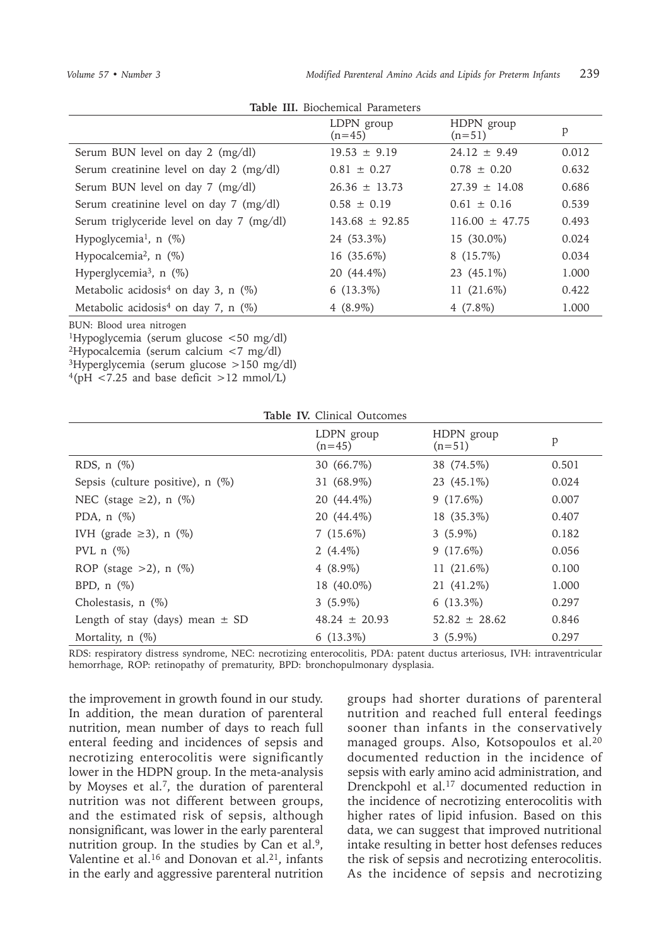| Table III. Diochemical Lafameters                  |                        |                        |       |  |
|----------------------------------------------------|------------------------|------------------------|-------|--|
|                                                    | LDPN group<br>$(n=45)$ | HDPN group<br>$(n=51)$ | P     |  |
| Serum BUN level on day 2 (mg/dl)                   | $19.53 \pm 9.19$       | $24.12 \pm 9.49$       | 0.012 |  |
| Serum creatinine level on day 2 (mg/dl)            | $0.81 \pm 0.27$        | $0.78 \pm 0.20$        | 0.632 |  |
| Serum BUN level on day 7 (mg/dl)                   | $26.36 \pm 13.73$      | $27.39 \pm 14.08$      | 0.686 |  |
| Serum creatinine level on day 7 (mg/dl)            | $0.58 \pm 0.19$        | $0.61 + 0.16$          | 0.539 |  |
| Serum triglyceride level on day 7 (mg/dl)          | $143.68 \pm 92.85$     | $116.00 \pm 47.75$     | 0.493 |  |
| Hypoglycemia <sup>1</sup> , $n$ (%)                | 24 (53.3%)             | 15 (30.0%)             | 0.024 |  |
| Hypocalcemia <sup>2</sup> , $n$ (%)                | 16 (35.6%)             | $8(15.7\%)$            | 0.034 |  |
| Hyperglycemia <sup>3</sup> , $n$ (%)               | 20 (44.4%)             | $23(45.1\%)$           | 1.000 |  |
| Metabolic acidosis <sup>4</sup> on day 3, n $(\%)$ | $6(13.3\%)$            | 11 (21.6%)             | 0.422 |  |
| Metabolic acidosis <sup>4</sup> on day 7, n $(\%)$ | 4 $(8.9\%)$            | $4(7.8\%)$             | 1.000 |  |

**Table III.** Biochemical Parameters

BUN: Blood urea nitrogen

<sup>1</sup>Hypoglycemia (serum glucose <50 mg/dl)

<sup>2</sup>Hypocalcemia (serum calcium <7 mg/dl)

<sup>3</sup>Hyperglycemia (serum glucose >150 mg/dl)

 $4(pH < 7.25$  and base deficit >12 mmol/L)

| Table IV. Clinical Outcomes         |                        |                        |       |  |
|-------------------------------------|------------------------|------------------------|-------|--|
|                                     | LDPN group<br>$(n=45)$ | HDPN group<br>$(n=51)$ | p     |  |
| RDS, $n$ $(\%)$                     | 30 (66.7%)             | 38 (74.5%)             | 0.501 |  |
| Sepsis (culture positive), $n$ (%)  | 31 (68.9%)             | 23 (45.1%)             | 0.024 |  |
| NEC (stage $\geq$ 2), n (%)         | 20 (44.4%)             | $9(17.6\%)$            | 0.007 |  |
| PDA, $n$ $(\%)$                     | 20 (44.4%)             | 18 (35.3%)             | 0.407 |  |
| IVH (grade $\geq$ 3), n (%)         | $7(15.6\%)$            | $3(5.9\%)$             | 0.182 |  |
| PVL $n$ $(\%)$                      | 2 $(4.4\%)$            | $9(17.6\%)$            | 0.056 |  |
| ROP (stage $>2$ ), n $(\%)$         | $4(8.9\%)$             | 11 (21.6%)             | 0.100 |  |
| BPD, $n$ $(\%)$                     | 18 (40.0%)             | 21 (41.2%)             | 1.000 |  |
| Cholestasis, $n$ $(\%)$             | $3(5.9\%)$             | $6(13.3\%)$            | 0.297 |  |
| Length of stay (days) mean $\pm$ SD | $48.24 \pm 20.93$      | $52.82 \pm 28.62$      | 0.846 |  |
| Mortality, n (%)                    | $6(13.3\%)$            | $3(5.9\%)$             | 0.297 |  |

RDS: respiratory distress syndrome, NEC: necrotizing enterocolitis, PDA: patent ductus arteriosus, IVH: intraventricular hemorrhage, ROP: retinopathy of prematurity, BPD: bronchopulmonary dysplasia.

the improvement in growth found in our study. In addition, the mean duration of parenteral nutrition, mean number of days to reach full enteral feeding and incidences of sepsis and necrotizing enterocolitis were significantly lower in the HDPN group. In the meta-analysis by Moyses et al.<sup>7</sup>, the duration of parenteral nutrition was not different between groups, and the estimated risk of sepsis, although nonsignificant, was lower in the early parenteral nutrition group. In the studies by Can et al.<sup>9</sup>, Valentine et al.<sup>16</sup> and Donovan et al.<sup>21</sup>, infants in the early and aggressive parenteral nutrition groups had shorter durations of parenteral nutrition and reached full enteral feedings sooner than infants in the conservatively managed groups. Also, Kotsopoulos et al.<sup>20</sup> documented reduction in the incidence of sepsis with early amino acid administration, and Drenckpohl et al.<sup>17</sup> documented reduction in the incidence of necrotizing enterocolitis with higher rates of lipid infusion. Based on this data, we can suggest that improved nutritional intake resulting in better host defenses reduces the risk of sepsis and necrotizing enterocolitis. As the incidence of sepsis and necrotizing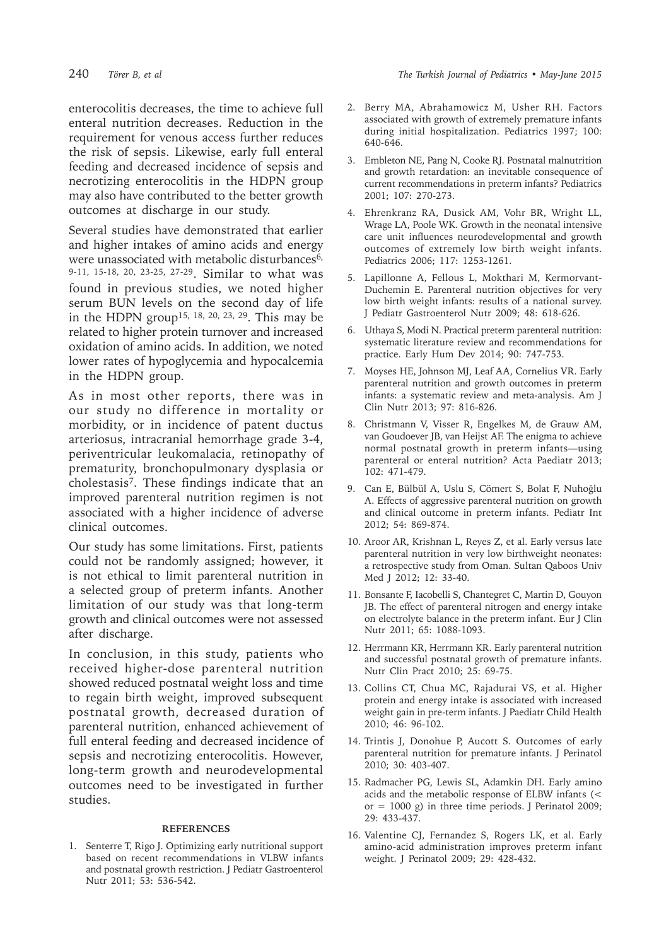enterocolitis decreases, the time to achieve full enteral nutrition decreases. Reduction in the requirement for venous access further reduces the risk of sepsis. Likewise, early full enteral feeding and decreased incidence of sepsis and necrotizing enterocolitis in the HDPN group may also have contributed to the better growth outcomes at discharge in our study.

Several studies have demonstrated that earlier and higher intakes of amino acids and energy were unassociated with metabolic disturbances<sup>6,</sup> 9-11, 15-18, 20, 23-25, 27-29. Similar to what was found in previous studies, we noted higher serum BUN levels on the second day of life in the HDPN group<sup>15, 18, 20, 23, 29</sup>. This may be related to higher protein turnover and increased oxidation of amino acids. In addition, we noted lower rates of hypoglycemia and hypocalcemia in the HDPN group.

As in most other reports, there was in our study no difference in mortality or morbidity, or in incidence of patent ductus arteriosus, intracranial hemorrhage grade 3-4, periventricular leukomalacia, retinopathy of prematurity, bronchopulmonary dysplasia or cholestasis7. These findings indicate that an improved parenteral nutrition regimen is not associated with a higher incidence of adverse clinical outcomes.

Our study has some limitations. First, patients could not be randomly assigned; however, it is not ethical to limit parenteral nutrition in a selected group of preterm infants. Another limitation of our study was that long-term growth and clinical outcomes were not assessed after discharge.

In conclusion, in this study, patients who received higher-dose parenteral nutrition showed reduced postnatal weight loss and time to regain birth weight, improved subsequent postnatal growth, decreased duration of parenteral nutrition, enhanced achievement of full enteral feeding and decreased incidence of sepsis and necrotizing enterocolitis. However, long-term growth and neurodevelopmental outcomes need to be investigated in further studies.

#### **REFERENCES**

1. Senterre T, Rigo J. Optimizing early nutritional support based on recent recommendations in VLBW infants and postnatal growth restriction. J Pediatr Gastroenterol Nutr 2011; 53: 536-542.

- 2. Berry MA, Abrahamowicz M, Usher RH. Factors associated with growth of extremely premature infants during initial hospitalization. Pediatrics 1997; 100: 640-646.
- 3. Embleton NE, Pang N, Cooke RJ. Postnatal malnutrition and growth retardation: an inevitable consequence of current recommendations in preterm infants? Pediatrics 2001; 107: 270-273.
- 4. Ehrenkranz RA, Dusick AM, Vohr BR, Wright LL, Wrage LA, Poole WK. Growth in the neonatal intensive care unit influences neurodevelopmental and growth outcomes of extremely low birth weight infants. Pediatrics 2006; 117: 1253-1261.
- 5. Lapillonne A, Fellous L, Mokthari M, Kermorvant-Duchemin E. Parenteral nutrition objectives for very low birth weight infants: results of a national survey. J Pediatr Gastroenterol Nutr 2009; 48: 618-626.
- 6. Uthaya S, Modi N. Practical preterm parenteral nutrition: systematic literature review and recommendations for practice. Early Hum Dev 2014; 90: 747-753.
- 7. Moyses HE, Johnson MJ, Leaf AA, Cornelius VR. Early parenteral nutrition and growth outcomes in preterm infants: a systematic review and meta-analysis. Am J Clin Nutr 2013; 97: 816-826.
- 8. Christmann V, Visser R, Engelkes M, de Grauw AM, van Goudoever JB, van Heijst AF. The enigma to achieve normal postnatal growth in preterm infants—using parenteral or enteral nutrition? Acta Paediatr 2013; 102: 471-479.
- 9. Can E, Bülbül A, Uslu S, Cömert S, Bolat F, Nuhoğlu A. Effects of aggressive parenteral nutrition on growth and clinical outcome in preterm infants. Pediatr Int 2012; 54: 869-874.
- 10. Aroor AR, Krishnan L, Reyes Z, et al. Early versus late parenteral nutrition in very low birthweight neonates: a retrospective study from Oman. Sultan Qaboos Univ Med J 2012; 12: 33-40.
- 11. Bonsante F, Iacobelli S, Chantegret C, Martin D, Gouyon JB. The effect of parenteral nitrogen and energy intake on electrolyte balance in the preterm infant. Eur J Clin Nutr 2011; 65: 1088-1093.
- 12. Herrmann KR, Herrmann KR. Early parenteral nutrition and successful postnatal growth of premature infants. Nutr Clin Pract 2010; 25: 69-75.
- 13. Collins CT, Chua MC, Rajadurai VS, et al. Higher protein and energy intake is associated with increased weight gain in pre-term infants. J Paediatr Child Health 2010; 46: 96-102.
- 14. Trintis J, Donohue P, Aucott S. Outcomes of early parenteral nutrition for premature infants. J Perinatol 2010; 30: 403-407.
- 15. Radmacher PG, Lewis SL, Adamkin DH. Early amino acids and the metabolic response of ELBW infants (< or = 1000 g) in three time periods. J Perinatol 2009; 29: 433-437.
- 16. Valentine CJ, Fernandez S, Rogers LK, et al. Early amino-acid administration improves preterm infant weight. J Perinatol 2009; 29: 428-432.